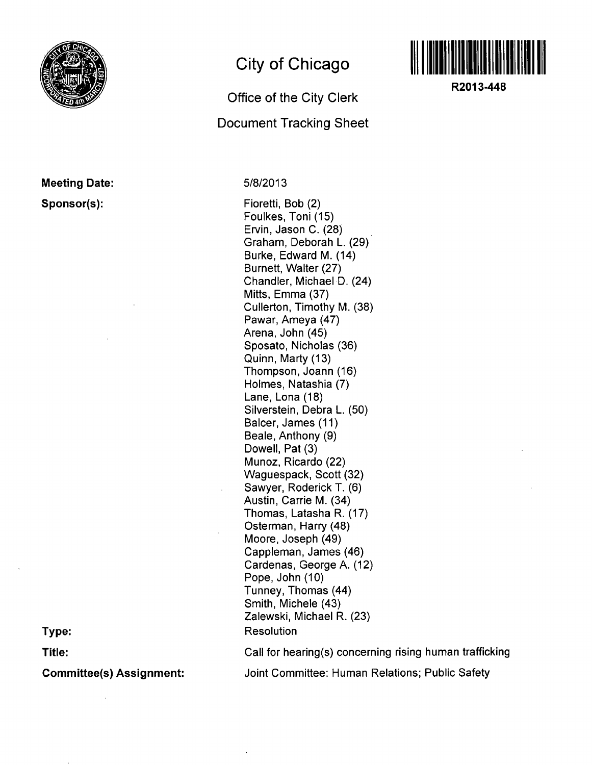

## **Meeting Date: Sponsor(s):**

**City of Chicago** 

## **Office of the City Clerk Document Tracking Sheet**

5/8/2013

Fioretti, Bob (2) Foulkes, Toni (15) Ervin, Jason C. (28) Graham, Deborah L. (29) Burke, Edward M. (14) Burnett, Walter (27) Chandler, Michael D. (24) Mitts, Emma (37) Cullerton, Timothy M. (38) Pawar, Ameya (47) Arena, John (45) Sposato, Nicholas (36) Quinn, Marty (13) Thompson, Joann (16) Holmes, Natashia (7) Lane, Lona (18) Silverstein, Debra L. (50) Balcer, James (11) Beale, Anthony (9) Dowell, Pat (3) Munoz, Ricardo (22) Waguespack, Scott (32) Sawyer, Roderick T. (6) Austin, Carrie M. (34) Thomas, Latasha R. (17) Osterman, Harry (48) Moore, Joseph (49) Cappleman, James (46) Cardenas, George A. (12) Pope, John (10) Tunney, Thomas (44) Smith, Michele (43) Zaiewski, Michael R. (23) Resolution



**R2013-448** 

**Type:** 

**Title:** 

**Committee(s) Assignment:** 

Call for hearing(s) concerning rising human trafficking Joint Committee: Human Relations; Public Safety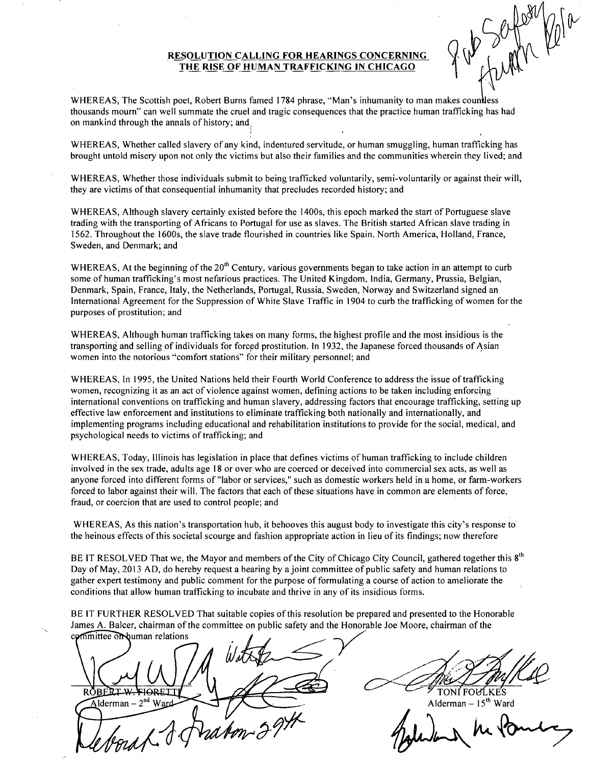## **RESOLUTION CALLING FOR HEARINGS CONCERNING THE RISE OF HUMAN TRAFFICKING IN CHICAGO**

**Ik** 

WHEREAS, The Scottish poet, Robert Burns famed 1784 phrase, "Man's inhumanity to man makes countless thousands mourn" can well summate the cruel and tragic consequences that the practice human trafficking has had on mankind through the annals of history; and ,

WHEREAS, Whether called slavery of any kind, indentured servitude, or human smuggling, human trafficking has brought untold misery upon not only the victims but also their families and the communities wherein they lived; and

WHEREAS, Whether those individuals submit to being trafficked voluntarily, semi-voluntarily or against their will, they are victims of that consequential inhumanity that precludes recorded history; and

WHEREAS, Although slavery certainly existed before the 1400s, this epoch marked the start of Portuguese slave trading with the transporting of Africans to Portugal for use as slaves. The British started African slave trading in 1562. Throughout the 1600s, the slave trade flourished in countries like Spain, North America, Holland, France, Sweden, and Denmark; and

WHEREAS, At the beginning of the 20<sup>th</sup> Century, various governments began to take action in an attempt to curb some of human trafficking's most nefarious practices. The United Kingdom, India, Germany, Prussia, Belgian, Denmark, Spain, France, Italy, the Netherlands, Portugal, Russia, Sweden, Norway and Switzerland signed an International Agreement for the Suppression of White Slave Traffic in 1904 to curb the trafficking of women for the purposes of prostitution; and

WHEREAS, Although human trafficking takes on many forms, the highest profile and the most insidious is the transporting and selling of individuals for forced prostitution. In 1932, the Japanese forced thousands of Asian women into the notorious "comfort stations" for their military personnel; and

WHEREAS, In 1995, the United Nations held their Fourth World Conference to address the issue of trafficking women, recognizing it as an act of violence against women, defining actions to be taken including enforcing international conventions on trafficking and human slavery, addressing factors that encourage trafficking, setting up effective law enforcement and institutions to eliminate trafficking both nationally and internationally, and implementing programs including educational and rehabilitation institutions to provide for the social, medical, and psychological needs to victims of trafficking; and

WHEREAS, Today, Illinois has legislation in place that defines victims of human trafficking to include children involved in the sex trade, adults age 18 or over who are coerced or deceived into commercial sex acts, as well as anyone forced into different forms of "labor or services," such as domestic workers held in a home, or farm-workers forced to labor against their will. The factors that each of these situations have in common are elements of force, fraud, or coercion that are used to control people; and

WHEREAS, As this nation's transportation hub, it behooves this august body to investigate this city's response to the heinous effects of this societal scourge and fashion appropriate action in lieu of its findings; now therefore

BE IT RESOLVED That we, the Mayor and members of the City of Chicago City Council, gathered together this  $8<sup>th</sup>$ Day of May, 2013 AD, do hereby request a hearing by ajoint committee of public safety and human relations to gather expert testimony and public comment for the purpose of formulating a course of action to ameliorate the conditions that allow human trafficking to incubate and thrive in any of its insidious forms.

BE IT FURTHER RESOLVED That suitable copies of this resolution be prepared and presented to the Honorable James A. Balcer, chairman of the committee on public safety and the Honorable Joe Moore, chairman of the

committee on buman relations ROBERIX FIORETT  $\widehat{\mathbf{A}}$ lderman – 2<sup>nd</sup> Ward Vad

TONI FOULKES

Alderman – 15<sup>th</sup> Ward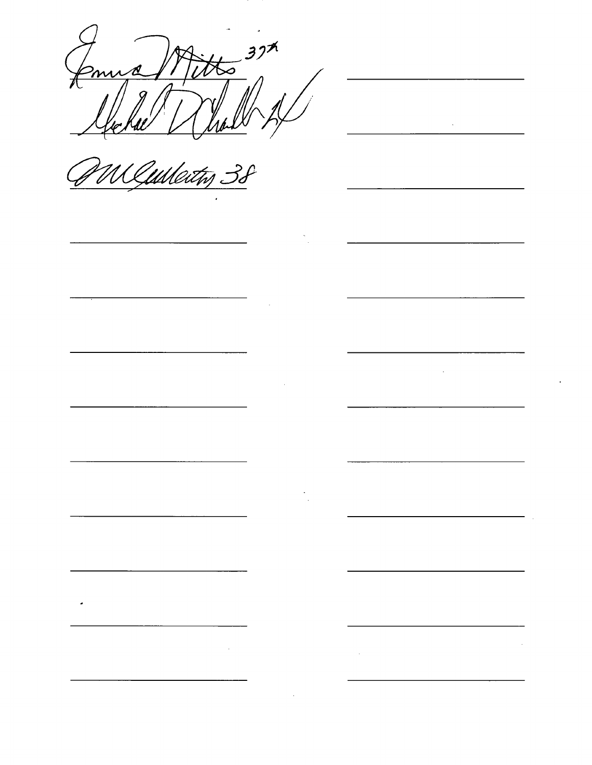ra Mitts 37th Kael Whall